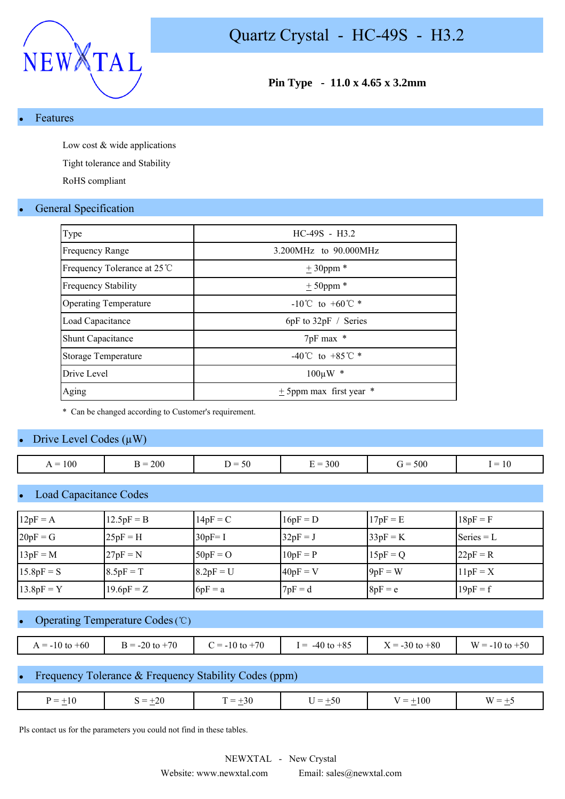

#### **Features**

Low cost & wide applications

Tight tolerance and Stability

RoHS compliant

#### **General Specification**

| Type                         | $HC-49S - H3.2$                    |
|------------------------------|------------------------------------|
| <b>Frequency Range</b>       | 3.200MHz to 90.000MHz              |
| Frequency Tolerance at 25 ℃  | $± 30$ ppm *                       |
| <b>Frequency Stability</b>   | $± 50$ ppm *                       |
| <b>Operating Temperature</b> | $-10^{\circ}$ C to $+60^{\circ}$ * |
| Load Capacitance             | $6pF$ to $32pF /$ Series           |
| <b>Shunt Capacitance</b>     | 7pF max *                          |
| Storage Temperature          | -40°C to +85°C $*$                 |
| Drive Level                  | $100 \mu W$ *                      |
| Aging                        | $\pm$ 5ppm max first year $*$      |

\* Can be changed according to Customer's requirement.

#### Drive Level Codes  $(\mu W)$

| $= 100$<br>▵<br>$  -$ | 200<br>$\sim$ $\sim$ | $\overline{\phantom{0}}$<br>. .<br>.JU<br>$ -$ | 300<br>$\overline{\phantom{a}}$<br>- - - | 500 | $\overline{\phantom{a}}$<br>$ -$ |
|-----------------------|----------------------|------------------------------------------------|------------------------------------------|-----|----------------------------------|
|                       |                      |                                                |                                          |     |                                  |

#### **Load Capacitance Codes**

| $12pF = A$   | $12.5pF = B$ | $14pF = C$  | $16pF = D$ | $17pF = E$ | $18pF = F$   |
|--------------|--------------|-------------|------------|------------|--------------|
| $20pF = G$   | $25pF = H$   | $30pF = I$  | $32pF = J$ | $33pF = K$ | $Series = L$ |
| $13pF = M$   | $27pF = N$   | $50pF = O$  | $10pF = P$ | $15pF = Q$ | $22pF = R$   |
| $15.8pF = S$ | $8.5pF = T$  | $8.2pF = U$ | $40pF = V$ | $9pF = W$  | $11pF = X$   |
| $13.8pF = Y$ | $19.6pF = Z$ | $6pF = a$   | $7pF = d$  | $8pF = e$  | $19pF = f$   |

### Operating Temperature Codes (℃)

| $A = -10$ to $+60$ | $= -20$ to $+70$ | $2 = -10$ to $+70$ | $-40$ to $+85$<br>$=$ | $X = -30$ to $+80$ | $W = -10$ to $+50$ |
|--------------------|------------------|--------------------|-----------------------|--------------------|--------------------|

#### Frequency Tolerance & Frequency Stability Codes (ppm)

| $-20$<br>00،<br>$=$<br>-50<br>$\overline{\phantom{0}}$<br>_<br>–<br>- 11<br>7.JU<br>$\overline{\phantom{0}}$<br>$\sim$<br>$\sim$<br>$\sim$ |
|--------------------------------------------------------------------------------------------------------------------------------------------|
|--------------------------------------------------------------------------------------------------------------------------------------------|

Pls contact us for the parameters you could not find in these tables.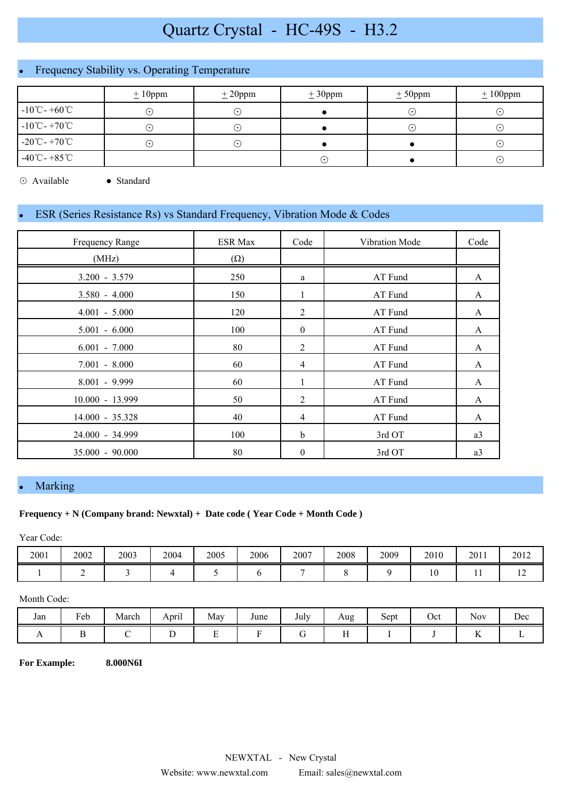# Quartz Crystal - HC-49S - H3.2

# Frequency Stability vs. Operating Temperature

|                                               | $\pm 10$ ppm  | $\pm 20$ ppm | $\pm 30$ ppm | $\pm$ 50ppm      | $\pm 100$ ppm |
|-----------------------------------------------|---------------|--------------|--------------|------------------|---------------|
| $-10^{\circ}$ C - $+60^{\circ}$ C             | $(\,\cdot\,)$ | $(\bullet)$  |              | ( • )            | ( •           |
| $-10^{\circ}$ C - $+70^{\circ}$ C             | $(\cdot)$     | $\cdot$ )    |              | $(\; \cdot \; )$ | ( •           |
| $-20^{\circ}\text{C}$ - $+70^{\circ}\text{C}$ | $(\cdot)$     | ۰.)          |              |                  | $\cdot$       |
| $-40^{\circ}$ C - $+85^{\circ}$ C             |               |              | ٠.           |                  | $\cdot$       |

⊙ Available ● Standard

### ESR (Series Resistance Rs) vs Standard Frequency, Vibration Mode & Codes

| Frequency Range   | <b>ESR Max</b> | Code             | Vibration Mode | Code |
|-------------------|----------------|------------------|----------------|------|
| (MHz)             | $(\Omega)$     |                  |                |      |
| $3.200 - 3.579$   | 250            | a                | AT Fund        | A    |
| $3.580 - 4.000$   | 150            | 1                | AT Fund        | A    |
| $4.001 - 5.000$   | 120            | $\overline{2}$   | AT Fund        | A    |
| $5.001 - 6.000$   | 100            | $\overline{0}$   | AT Fund        | A    |
| $6.001 - 7.000$   | 80             | $\overline{2}$   | AT Fund        | A    |
| $7.001 - 8.000$   | 60             | 4                | AT Fund        | A    |
| $8.001 - 9.999$   | 60             |                  | AT Fund        | A    |
| 10.000 - 13.999   | 50             | 2                | AT Fund        | A    |
| 14.000 - 35.328   | 40             | 4                | AT Fund        | A    |
| 24.000 - 34.999   | 100            | $\mathbf b$      | 3rd OT         | a3   |
| $35.000 - 90.000$ | 80             | $\boldsymbol{0}$ | 3rd OT         | a3   |

## **Marking**

#### **Frequency + N (Company brand: Newxtal) + Date code ( Year Code + Month Code )**

Year Code:

| 2001 | 2002 | 2003 | 2004 | 2005 | 2006 | 2007 | 2008 | 2009 | 2010 | 2011 | 2012 |
|------|------|------|------|------|------|------|------|------|------|------|------|
|      |      |      |      |      |      |      |      |      | 1 V  | . .  | . .  |

#### Month Code:

| Jan | Feb | March | $\cdot$ .<br>April | May    | June | <b>T</b> 1<br>July | Aug                  | $\tilde{\phantom{a}}$<br>Sept | Oct | $\sim$ $\sim$<br><b>Nov</b> | Dec |
|-----|-----|-------|--------------------|--------|------|--------------------|----------------------|-------------------------------|-----|-----------------------------|-----|
| . . |     |       | ∸                  | -<br>∸ |      |                    | $ -$<br>$\mathbf{r}$ |                               |     | $\overline{\mathbf{r}}$     |     |

**For Example: 8.000N6I**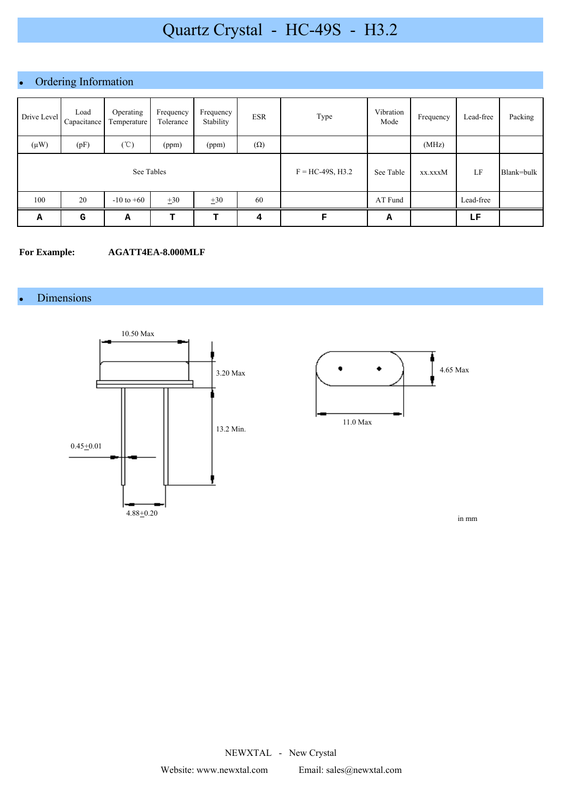# Quartz Crystal - HC-49S - H3.2

## • Ordering Information

| Drive Level | Load<br>Capacitance | Operating<br>Temperature | Frequency<br>Tolerance | Frequency<br>Stability | <b>ESR</b> | Type               | Vibration<br>Mode | Frequency | Lead-free | Packing    |
|-------------|---------------------|--------------------------|------------------------|------------------------|------------|--------------------|-------------------|-----------|-----------|------------|
| $(\mu W)$   | (pF)                | $({\rm ^{\circ}C})$      | (ppm)                  | (ppm)                  | $(\Omega)$ |                    |                   | (MHz)     |           |            |
| See Tables  |                     |                          |                        |                        |            | $F = HC-49S, H3.2$ | See Table         | xx.xxxM   | LF        | Blank=bulk |
| 100         | 20                  | $-10$ to $+60$           | $+30$                  | $\pm 30$               | 60         |                    | AT Fund           |           | Lead-free |            |
| Α           | G                   | А                        | т                      | т                      | 4          | F                  | А                 |           | LF        |            |

#### **For Example: AGATT4EA-8.000MLF**

### **Dimensions**





in mm